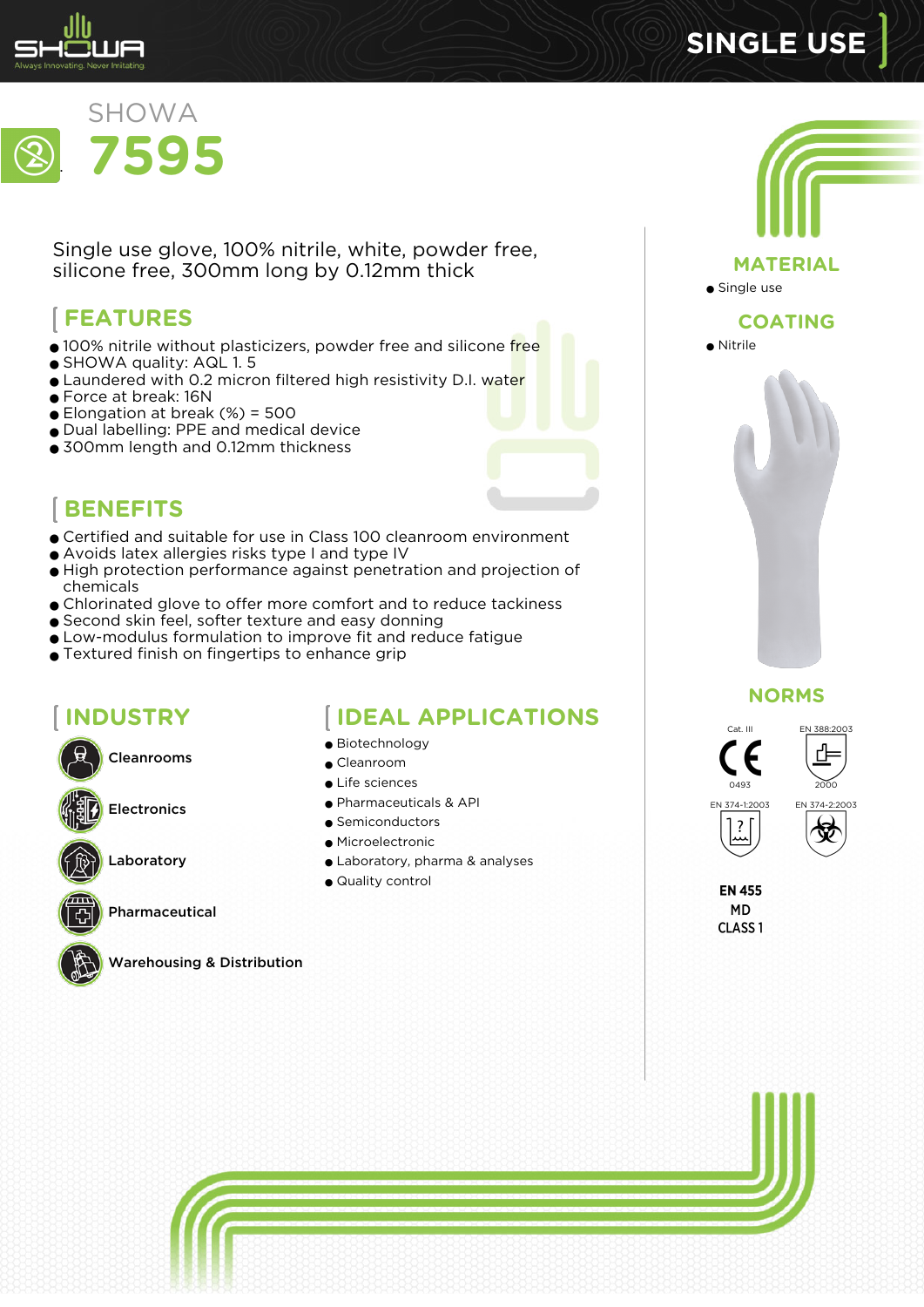

## . SHOWA **7595**

Single use glove, 100% nitrile, white, powder free, silicone free, 300mm long by 0.12mm thick

# **FEATURES**

- 100% nitrile without plasticizers, powder free and silicone free
- SHOWA quality: AQL 1.5
- **•** Laundered with 0.2 micron filtered high resistivity D.I. water
- Force at break: 16N
- $\bullet$  Elongation at break (%) = 500
- Dual labelling: PPE and medical device
- 300mm length and 0.12mm thickness



- Certified and suitable for use in Class 100 cleanroom environment
- Avoids latex allergies risks type I and type IV
- High protection performance against penetration and projection of chemicals
- Chlorinated glove to offer more comfort and to reduce tackiness
- Second skin feel, softer texture and easy donning
- Low-modulus formulation to improve fit and reduce fatigue
- Textured finish on fingertips to enhance grip

## **INDUSTRY**

Cleanrooms

Electronics

Laboratory

Pharmaceutical



### Warehousing & Distribution

### **IDEAL APPLICATIONS**

- Biotechnology
- Cleanroom
- Life sciences
- Pharmaceuticals & API
- Semiconductors
- Microelectronic
- Laboratory, pharma & analyses
- Quality control



**SINGLE USE**

#### **NORMS**